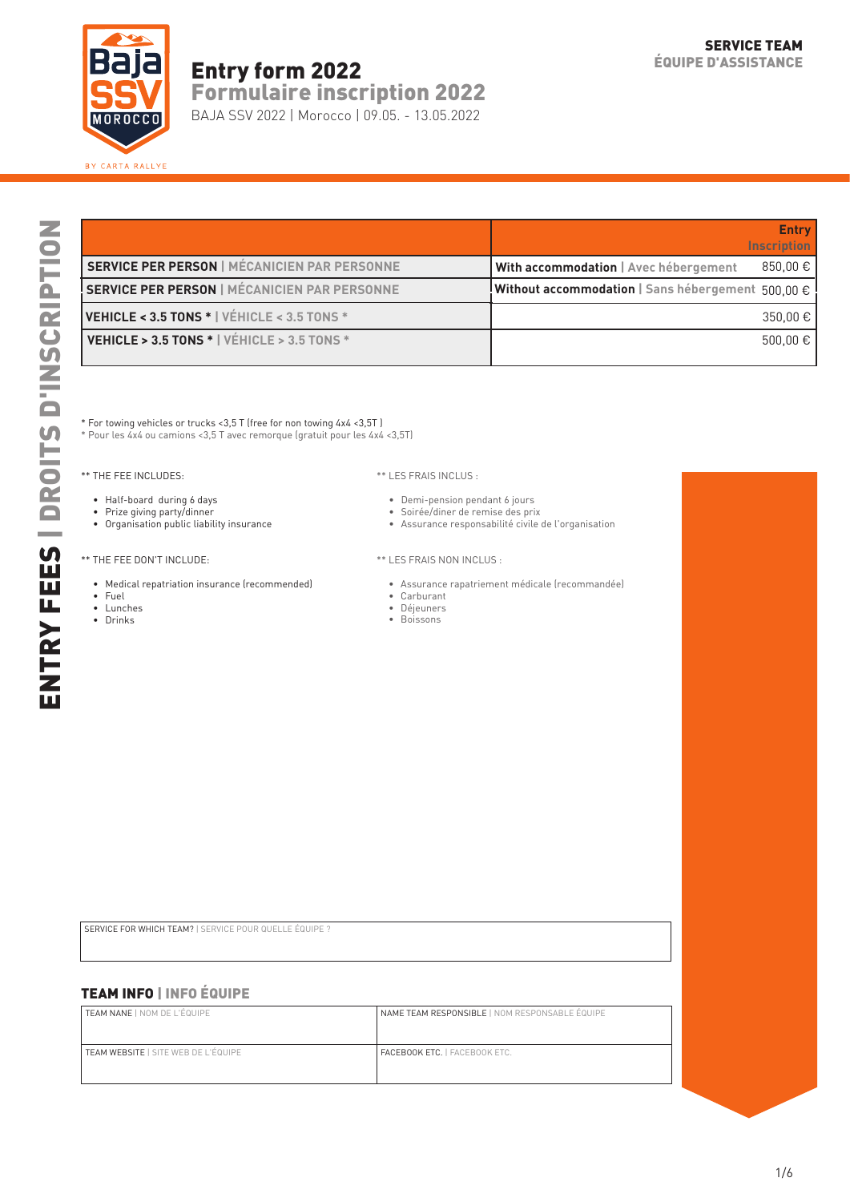

## Entry form 2022

Formulaire inscription 2022

BAJA SSV 2022 | Morocco | 09.05. - 13.05.2022

|                                                          | <b>Entry</b><br><b>Inscription</b>                           |
|----------------------------------------------------------|--------------------------------------------------------------|
| <b>SERVICE PER PERSON   MÉCANICIEN PAR PERSONNE</b>      | 850,00 €<br>With accommodation   Avec hébergement            |
| SERVICE PER PERSON   MÉCANICIEN PAR PERSONNE             | <b>Without accommodation</b>   Sans hébergement $500.00 \in$ |
| VEHICLE < 3.5 TONS * VÉHICLE < 3.5 TONS *                | $350.00 \in$                                                 |
| <b>VEHICLE &gt; 3.5 TONS *   VEHICLE &gt; 3.5 TONS *</b> | 500.00 €                                                     |

\* For towing vehicles or trucks <3,5 T (free for non towing 4x4 <3,5T )

\* Pour les 4x4 ou camions <3,5 T avec remorque (gratuit pour les 4x4 <3,5T)

\*\* THE FEE INCLUDES:

- Half-board during 6 days
- Prize giving party/dinner
- Organisation public liability insurance

#### \*\* THE FEE DON'T INCLUDE:

- Medical repatriation insurance (recommended)
- Fuel
- Lunches
- Drinks

#### \*\* LES FRAIS INCLUS :

- Demi-pension pendant 6 jours
- Soirée/diner de remise des prix
- Assurance responsabilité civile de l'organisation
- \*\* LES FRAIS NON INCLUS :
	- Assurance rapatriement médicale (recommandée)
- Carburant
- Déjeuners
- Boissons

SERVICE FOR WHICH TEAM? | SERVICE POUR QUELLE ÉQUIPE ?

## TEAM INFO | INFO ÉQUIPE

| <b>TEAM NANE  </b> NOM DE L'ÉQUIPE         | NAME TEAM RESPONSIBLE   NOM RESPONSABLE ÉQUIPE |
|--------------------------------------------|------------------------------------------------|
| <b>TEAM WEBSITE   SITE WEB DE L'ÉQUIPE</b> | <b>FACEBOOK ETC.   FACEBOOK ETC.</b>           |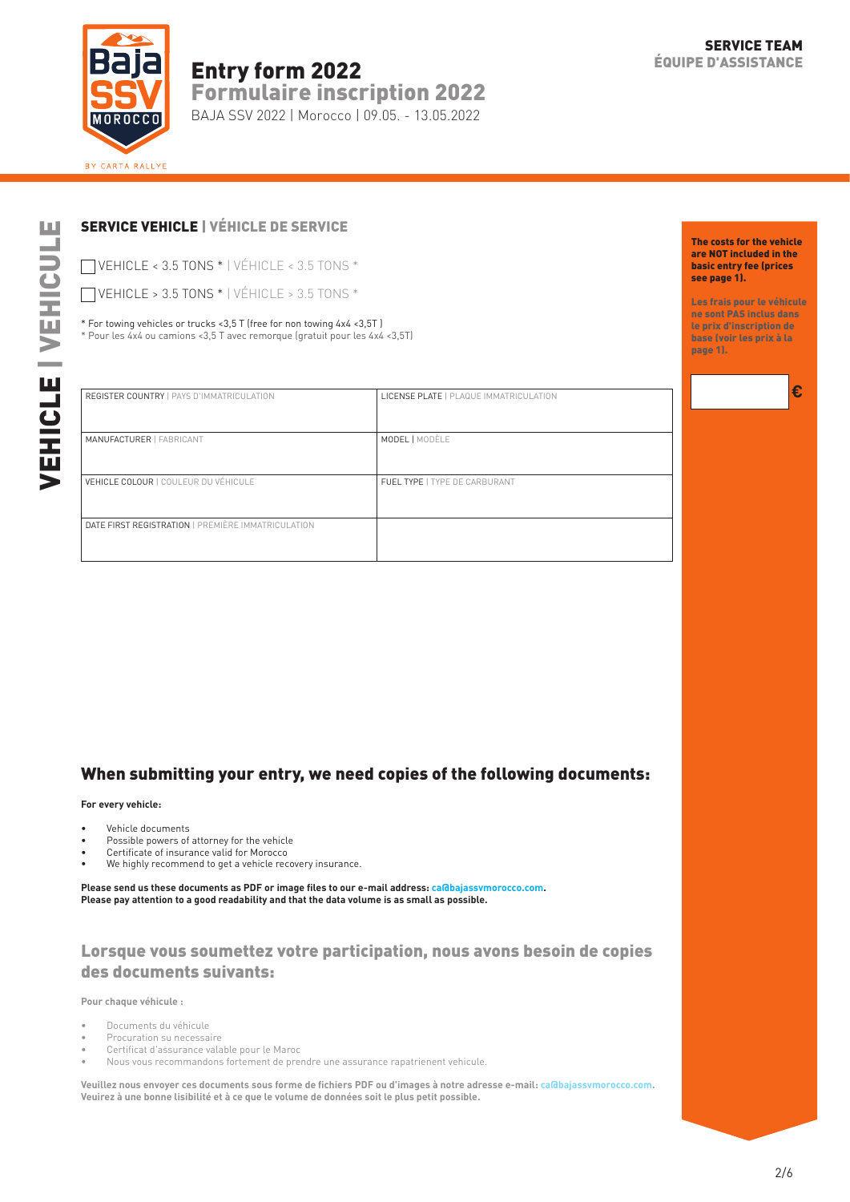

## Entry form 2022 Formulaire inscription 2022

BAJA SSV 2022 | Morocco | 09.05. - 13.05.2022

## SERVICE VEHICLE | VÉHICLE DE SERVICE

VEHICLE < 3.5 TONS \* | VÉHICLE < 3.5 TONS \*

VEHICLE > 3.5 TONS \* | VÉHICLE > 3.5 TONS \*

\* For towing vehicles or trucks <3,5 T (free for non towing 4x4 <3,5T ) \* Pour les 4x4 ou camions <3,5 T avec remorque (gratuit pour les 4x4 <3,5T)

| b.           |
|--------------|
|              |
|              |
|              |
|              |
| $\mathbf{L}$ |
| I            |
| í            |
|              |
|              |
|              |
|              |
|              |
| ٠            |

| <b>REGISTER COUNTRY   PAYS D'IMMATRICULATION</b>   | LICENSE PLATE   PLAQUE IMMATRICULATION |
|----------------------------------------------------|----------------------------------------|
| MANUFACTURER   FABRICANT                           | <b>MODEL   MODÈLE</b>                  |
| <b>VEHICLE COLOUR   COULEUR DU VÉHICULE</b>        | FUEL TYPE   TYPE DE CARBURANT          |
| DATE FIRST REGISTRATION   PREMIÈRE IMMATRICULATION |                                        |

## When submitting your entry, we need copies of the following documents:

#### **For every vehicle:**

- Vehicle documents
- Possible powers of attorney for the vehicle
- Certificate of insurance valid for Morocco
- We highly recommend to get a vehicle recovery insurance.

**Please send us these documents as PDF or image files to our e-mail address: ca@bajassvmorocco.com. Please pay attention to a good readability and that the data volume is as small as possible.**

## Lorsque vous soumettez votre participation, nous avons besoin de copies des documents suivants:

**Pour chaque véhicule :**

- Documents du véhicule
- Procuration su necessaire
- Certificat d'assurance valable pour le Maroc
- Nous vous recommandons fortement de prendre une assurance rapatrienent vehicule.

**Veuillez nous envoyer ces documents sous forme de fichiers PDF ou d'images à notre adresse e-mail: ca@bajassvmorocco.com. Veuirez à une bonne lisibilité et à ce que le volume de données soit le plus petit possible.**

Les frais pour le véhicule ne sont PAS inclus dans le prix d'inscription de base (voir les prix à la page 1).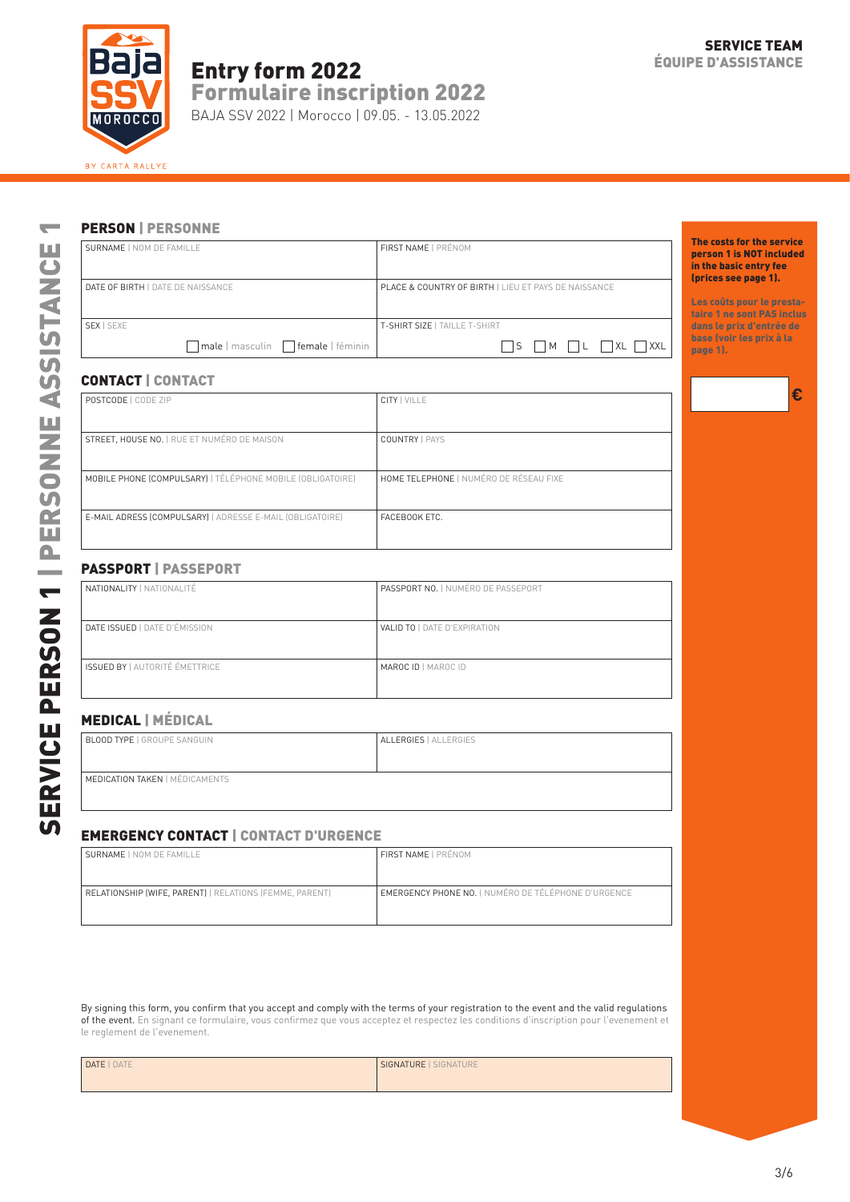

# Entry form 2022 **EQUIPE D'ASSISTANCE**

Formulaire inscription 2022

BAJA SSV 2022 | Morocco | 09.05. - 13.05.2022

**€**

#### PERSON | PERSONNE

| SURNAME   NOM DE FAMILLE                       | FIRST NAME   PRÉNOM                                             | The costs for the service<br>person 1 is NOT included<br>in the basic entry fee<br>(prices see page 1). |
|------------------------------------------------|-----------------------------------------------------------------|---------------------------------------------------------------------------------------------------------|
| DATE OF BIRTH   DATE DE NAISSANCE              | <b>PLACE &amp; COUNTRY OF BIRTH   LIEU ET PAYS DE NAISSANCE</b> | Les coûts pour le presta-<br>taire 1 ne sont PAS inclus                                                 |
| SEX   SEXE                                     | T-SHIRT SIZE   TAILLE T-SHIRT                                   | dans le prix d'entrée de                                                                                |
| $\Box$ male   masculin $\Box$ female   féminin | $\Box$ S $\Box$ M $\Box$ L $\Box$ XL $\Box$ XXL                 | base (voir les prix à la<br>page 1).                                                                    |

#### CONTACT | CONTACT

| <b>SURNAME   NOM DE FAMILLE</b>                            | FIRST NAME   PRÉNOM                                  |
|------------------------------------------------------------|------------------------------------------------------|
| DATE OF BIRTH   DATE DE NAISSANCE                          | PLACE & COUNTRY OF BIRTH   LIEU ET PAYS DE NAISSANCE |
| SEX   SEXE                                                 | T-SHIRT SIZE   TAILLE T-SHIRT                        |
| male   masculin   female   féminin                         | $\Box$ S $\Box$ M $\Box$ L $\Box$ XL $\Box$ XXL      |
| <b>CONTACT   CONTACT</b>                                   |                                                      |
| POSTCODE   CODE ZIP                                        | CITY   VILLE                                         |
| STREET, HOUSE NO.   RUE ET NUMÉRO DE MAISON                | <b>COUNTRY   PAYS</b>                                |
| MOBILE PHONE (COMPULSARY)   TÉLÉPHONE MOBILE (OBLIGATOIRE) | HOME TELEPHONE   NUMÉRO DE RÉSEAU FIXE               |
| E-MAIL ADRESS (COMPULSARY)   ADRESSE E-MAIL (OBLIGATOIRE)  | FACEBOOK ETC.                                        |
| <b>PASSPORT   PASSEPORT</b>                                |                                                      |
| NATIONALITY   NATIONALITÉ                                  | PASSPORT NO.   NUMÉRO DE PASSEPORT                   |
| DATE ISSUED   DATE D'ÉMISSION                              | VALID TO   DATE D'EXPIRATION                         |
| <b>ISSUED BY   AUTORITÉ ÉMETTRICE</b>                      | MAROC ID   MAROC ID                                  |
| <b>MEDICAL   MÉDICAL</b>                                   |                                                      |
| <b>BLOOD TYPE   GROUPE SANGUIN</b>                         | ALLERGIES   ALLERGIES                                |
|                                                            |                                                      |

## PASSPORT | PASSEPORT

| NATIONALITY   NATIONALITÉ             | <b>PASSPORT NO.   NUMÉRO DE PASSEPORT</b> |
|---------------------------------------|-------------------------------------------|
|                                       |                                           |
|                                       |                                           |
| DATE ISSUED   DATE D'ÉMISSION         | <b>VALID TO   DATE D'EXPIRATION</b>       |
|                                       |                                           |
|                                       |                                           |
| <b>ISSUED BY   AUTORITÉ ÉMETTRICE</b> | <b>MAROC ID   MAROC ID</b>                |
|                                       |                                           |
|                                       |                                           |

## MEDICAL | MÉDICAL

| <b>BLOOD TYPE   GROUPE SANGUIN</b>    | ALLERGIES   ALLERGIES |
|---------------------------------------|-----------------------|
| <b>MEDICATION TAKEN   MÉDICAMENTS</b> |                       |

### EMERGENCY CONTACT | CONTACT D'URGENCE

| SURNAME   NOM DE FAMILLE                                | FIRST NAME   PRÉNOM                                        |
|---------------------------------------------------------|------------------------------------------------------------|
|                                                         |                                                            |
|                                                         |                                                            |
| RELATIONSHIP (WIFE, PARENT)   RELATIONS (FEMME, PARENT) | <b>EMERGENCY PHONE NO.   NUMÉRO DE TÉLÉPHONE D'URGENCE</b> |
|                                                         |                                                            |
|                                                         |                                                            |

By signing this form, you confirm that you accept and comply with the terms of your registration to the event and the valid regulations of the event. En signant ce formulaire, vous confirmez que vous acceptez et respectez les conditions d'inscription pour l'evenement et le reglement de l'evenement.

| DATE   DATE | SIGNATURE   SIGNATURE |
|-------------|-----------------------|
|             |                       |
|             |                       |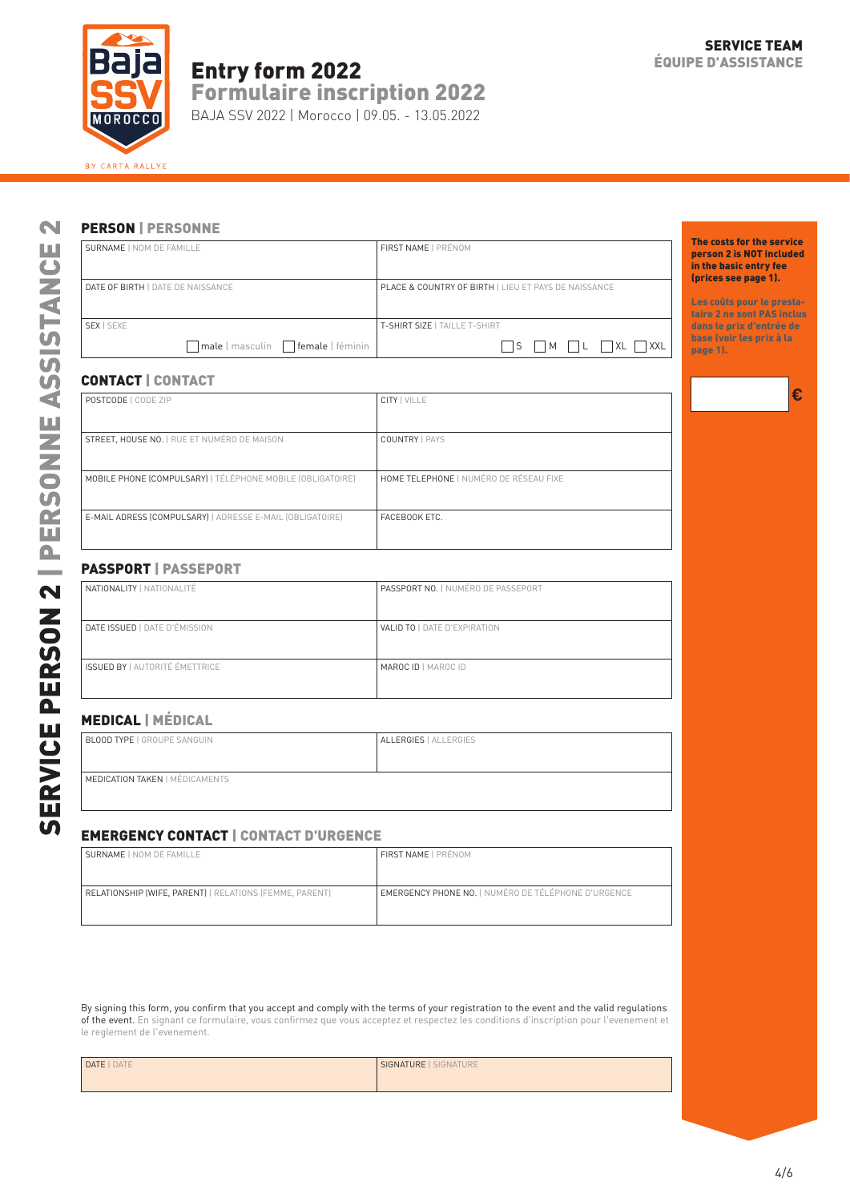

# Entry form 2022

Formulaire inscription 2022

BAJA SSV 2022 | Morocco | 09.05. - 13.05.2022

**€**

## PERSON | PERSONNE

| SURNAME   NOM DE FAMILLE                       | FIRST NAME   PRÉNOM                                             | The costs for the service<br>person 2 is NOT included<br>in the basic entry fee<br>(prices see page 1). |
|------------------------------------------------|-----------------------------------------------------------------|---------------------------------------------------------------------------------------------------------|
| DATE OF BIRTH   DATE DE NAISSANCE              | <b>PLACE &amp; COUNTRY OF BIRTH   LIEU ET PAYS DE NAISSANCE</b> | Les coûts pour le presta-<br>taire 2 ne sont PAS inclus                                                 |
| SEX   SEXE                                     | T-SHIRT SIZE   TAILLE T-SHIRT                                   | dans le prix d'entrée de<br>base (voir les prix à la                                                    |
| $\Box$ male   masculin $\Box$ female   féminin | $\Box$ S $\Box$ M $\Box$ L $\Box$ XL $\Box$ XXL                 | page 1).                                                                                                |

#### CONTACT | CONTACT

| <b>SURNAME   NOM DE FAMILLE</b>                            | FIRST NAME   PRÉNOM                                  |
|------------------------------------------------------------|------------------------------------------------------|
| DATE OF BIRTH   DATE DE NAISSANCE                          | PLACE & COUNTRY OF BIRTH   LIEU ET PAYS DE NAISSANCE |
| SEX   SEXE                                                 | T-SHIRT SIZE   TAILLE T-SHIRT                        |
| male   masculin   female   féminin                         | $\Box$ S $\Box$ M $\Box$ L $\Box$ XL $\Box$ XXL      |
| <b>CONTACT   CONTACT</b>                                   |                                                      |
| POSTCODE   CODE ZIP                                        | <b>CITY   VILLE</b>                                  |
| <b>STREET, HOUSE NO.   RUE ET NUMÉRO DE MAISON</b>         | <b>COUNTRY   PAYS</b>                                |
| MOBILE PHONE (COMPULSARY)   TÉLÉPHONE MOBILE (OBLIGATOIRE) | HOME TELEPHONE   NUMÉRO DE RÉSEAU FIXE               |
| E-MAIL ADRESS (COMPULSARY)   ADRESSE E-MAIL (OBLIGATOIRE)  | FACEBOOK ETC.                                        |
| <b>PASSPORT   PASSEPORT</b>                                |                                                      |
| NATIONALITY   NATIONALITÉ                                  | PASSPORT NO.   NUMÉRO DE PASSEPORT                   |
| DATE ISSUED   DATE D'ÉMISSION                              | VALID TO   DATE D'EXPIRATION                         |
| <b>ISSUED BY   AUTORITÉ ÉMETTRICE</b>                      | MAROC ID   MAROC ID                                  |
| <b>MEDICAL</b>   MÉDICAL                                   |                                                      |
| <b>BLOOD TYPE   GROUPE SANGUIN</b>                         | ALLERGIES   ALLERGIES                                |
| <b>MEDICATION TAKEN   MÉDICAMENTS</b>                      |                                                      |
|                                                            |                                                      |

## PASSPORT | PASSEPORT

| <b>NATIONALITY   NATIONALITÉ</b>      | PASSPORT NO.   NUMÉRO DE PASSEPORT |  |
|---------------------------------------|------------------------------------|--|
|                                       |                                    |  |
|                                       |                                    |  |
| DATE ISSUED   DATE D'ÉMISSION         | VALID TO   DATE D'EXPIRATION       |  |
|                                       |                                    |  |
|                                       |                                    |  |
| <b>ISSUED BY   AUTORITÉ ÉMETTRICE</b> | <b>MAROC ID   MAROC ID</b>         |  |
|                                       |                                    |  |
|                                       |                                    |  |
|                                       |                                    |  |

## MEDICAL | MÉDICAL

| <b>BLOOD TYPE   GROUPE SANGUIN</b>    | ALLERGIES   ALLERGIES |
|---------------------------------------|-----------------------|
| <b>MEDICATION TAKEN   MÉDICAMENTS</b> |                       |

### EMERGENCY CONTACT | CONTACT D'URGENCE

| SURNAME   NOM DE FAMILLE                                | <b>FIRST NAME   PRÉNOM</b>                          |
|---------------------------------------------------------|-----------------------------------------------------|
|                                                         |                                                     |
| RELATIONSHIP (WIFE, PARENT)   RELATIONS (FEMME, PARENT) | EMERGENCY PHONE NO.   NUMÉRO DE TÉLÉPHONE D'URGENCE |
|                                                         |                                                     |

By signing this form, you confirm that you accept and comply with the terms of your registration to the event and the valid regulations of the event. En signant ce formulaire, vous confirmez que vous acceptez et respectez les conditions d'inscription pour l'evenement et le reglement de l'evenement.

| DATE   DATE | SIGNATURE   SIGNATURE |
|-------------|-----------------------|
|             |                       |
|             |                       |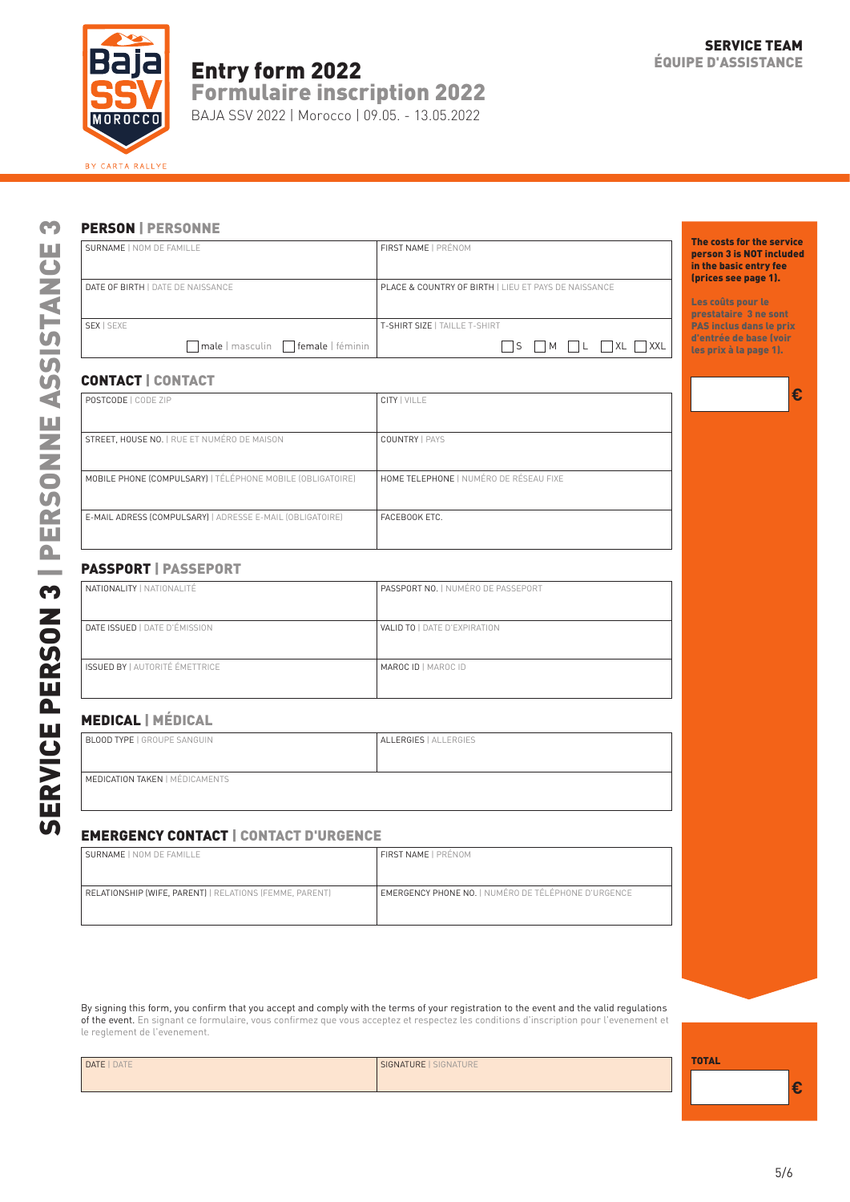

# Entry form 2022

Formulaire inscription 2022

BAJA SSV 2022 | Morocco | 09.05. - 13.05.2022

**€**

## PERSON | PERSONNE

| SURNAME   NOM DE FAMILLE           | FIRST NAME   PRÉNOM                                             | The costs for the service<br>person 3 is NOT included<br>in the basic entry fee<br>(prices see page 1). |
|------------------------------------|-----------------------------------------------------------------|---------------------------------------------------------------------------------------------------------|
| DATE OF BIRTH   DATE DE NAISSANCE  | <b>PLACE &amp; COUNTRY OF BIRTH   LIEU ET PAYS DE NAISSANCE</b> | Les coûts pour le<br>prestataire 3 ne sont                                                              |
| SEX   SEXE                         | T-SHIRT SIZE   TAILLE T-SHIRT                                   | <b>PAS inclus dans le prix</b>                                                                          |
| male   masculin   female   féminin | $\Box M$ $\Box L$ $\Box XL$ $\Box XXL$<br>  IS                  | d'entrée de base (voir<br>les prix à la page 1).                                                        |
|                                    |                                                                 |                                                                                                         |

#### CONTACT | CONTACT

| SURNAME   NOM DE FAMILLE                                   | FIRST NAME   PRÉNOM                                  |
|------------------------------------------------------------|------------------------------------------------------|
| DATE OF BIRTH   DATE DE NAISSANCE                          | PLACE & COUNTRY OF BIRTH   LIEU ET PAYS DE NAISSANCE |
| SEX   SEXE                                                 | T-SHIRT SIZE   TAILLE T-SHIRT                        |
| male   masculin   female   féminin                         | $\Box$ S $\Box$ M $\Box$ L $\Box$ XL $\Box$ XXL      |
| <b>CONTACT   CONTACT</b>                                   |                                                      |
| POSTCODE   CODE ZIP                                        | <b>CITY   VILLE</b>                                  |
| <b>STREET, HOUSE NO.   RUE ET NUMÉRO DE MAISON</b>         | <b>COUNTRY   PAYS</b>                                |
| MOBILE PHONE (COMPULSARY)   TÉLÉPHONE MOBILE (OBLIGATOIRE) | HOME TELEPHONE   NUMÉRO DE RÉSEAU FIXE               |
| E-MAIL ADRESS (COMPULSARY)   ADRESSE E-MAIL (OBLIGATOIRE)  | FACEBOOK ETC.                                        |
| <b>PASSPORT   PASSEPORT</b>                                |                                                      |
| NATIONALITY   NATIONALITÉ                                  | PASSPORT NO.   NUMÉRO DE PASSEPORT                   |
| DATE ISSUED   DATE D'ÉMISSION                              | VALID TO   DATE D'EXPIRATION                         |
| <b>ISSUED BY   AUTORITÉ ÉMETTRICE</b>                      | MAROC ID   MAROC ID                                  |
| <b>MEDICAL   MÉDICAL</b>                                   |                                                      |
| <b>BLOOD TYPE   GROUPE SANGUIN</b>                         | ALLERGIES   ALLERGIES                                |
| <b>MEDICATION TAKEN   MÉDICAMENTS</b>                      |                                                      |
|                                                            |                                                      |

### PASSPORT | PASSEPORT

| NATIONALITY   NATIONALITÉ             | <b>PASSPORT NO.   NUMÉRO DE PASSEPORT</b> |  |  |
|---------------------------------------|-------------------------------------------|--|--|
|                                       |                                           |  |  |
| <b>DATE ISSUED   DATE D'ÉMISSION</b>  | VALID TO   DATE D'EXPIRATION              |  |  |
|                                       |                                           |  |  |
| <b>ISSUED BY   AUTORITÉ ÉMETTRICE</b> | <b>MAROC ID   MAROC ID</b>                |  |  |
|                                       |                                           |  |  |
|                                       |                                           |  |  |

## MEDICAL | MÉDICAL

| <b>BLOOD TYPE   GROUPE SANGUIN</b>    | ALLERGIES   ALLERGIES |
|---------------------------------------|-----------------------|
|                                       |                       |
| <b>MEDICATION TAKEN   MÉDICAMENTS</b> |                       |
|                                       |                       |
|                                       |                       |

### EMERGENCY CONTACT | CONTACT D'URGENCE

| SURNAME   NOM DE FAMILLE                                | I FIRST NAME   PRÉNOM                                      |
|---------------------------------------------------------|------------------------------------------------------------|
|                                                         |                                                            |
| RELATIONSHIP (WIFE, PARENT)   RELATIONS (FEMME, PARENT) | <b>EMERGENCY PHONE NO.   NUMÉRO DE TÉLÉPHONE D'URGENCE</b> |
|                                                         |                                                            |
|                                                         |                                                            |

By signing this form, you confirm that you accept and comply with the terms of your registration to the event and the valid regulations of the event. En signant ce formulaire, vous confirmez que vous acceptez et respectez les conditions d'inscription pour l'evenement et le reglement de l'evenement.

| DATE   DATE | SIGNATURE   SIGNATURE | <b>TOTAL</b> |  |
|-------------|-----------------------|--------------|--|
|             |                       |              |  |
|             |                       |              |  |